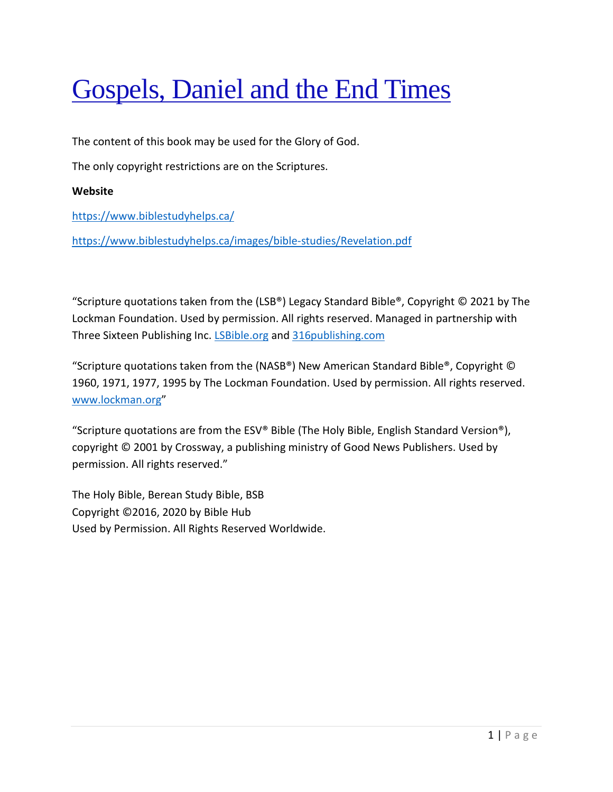# Gospels, Daniel and the End Times

The content of this book may be used for the Glory of God.

The only copyright restrictions are on the Scriptures.

#### **Website**

<https://www.biblestudyhelps.ca/>

<https://www.biblestudyhelps.ca/images/bible-studies/Revelation.pdf>

"Scripture quotations taken from the (LSB®) Legacy Standard Bible®, Copyright © 2021 by The Lockman Foundation. Used by permission. All rights reserved. Managed in partnership with Three Sixteen Publishing Inc. [LSBible.org](http://lsbible.org/) and [316publishing.com](http://316publishing.com/)

"Scripture quotations taken from the (NASB®) New American Standard Bible®, Copyright © 1960, 1971, 1977, 1995 by The Lockman Foundation. Used by permission. All rights reserved. [www.lockman.org"](https://www.lockman.org/)

"Scripture quotations are from the ESV® Bible (The Holy Bible, English Standard Version®), copyright © 2001 by Crossway, a publishing ministry of Good News Publishers. Used by permission. All rights reserved."

The Holy Bible, Berean Study Bible, BSB Copyright ©2016, 2020 by Bible Hub Used by Permission. All Rights Reserved Worldwide.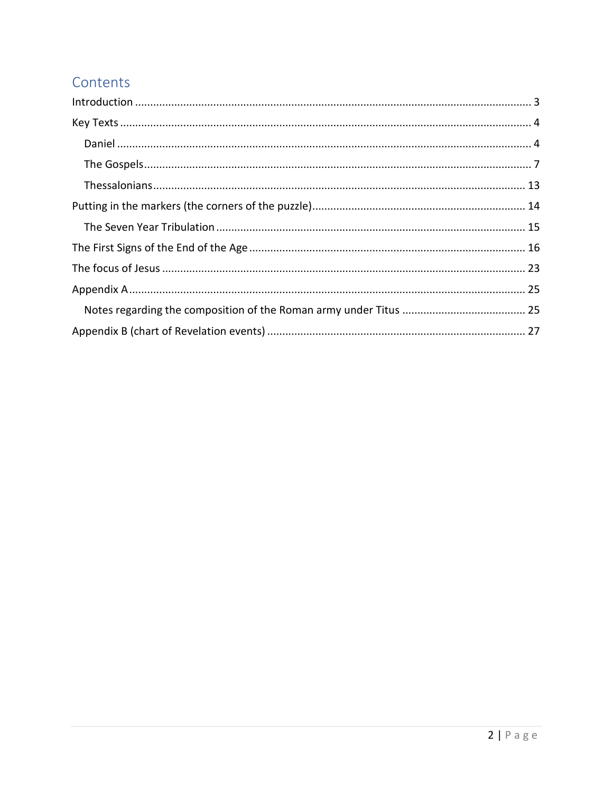# Contents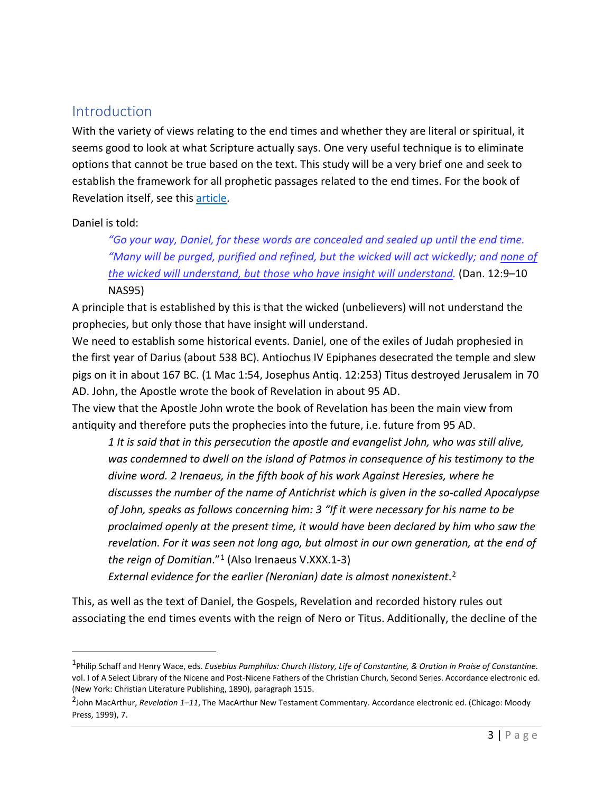## <span id="page-2-0"></span>**Introduction**

With the variety of views relating to the end times and whether they are literal or spiritual, it seems good to look at what Scripture actually says. One very useful technique is to eliminate options that cannot be true based on the text. This study will be a very brief one and seek to establish the framework for all prophetic passages related to the end times. For the book of Revelation itself, see this [article.](https://www.biblestudyhelps.ca/images/bible-studies/Revelation.pdf)

Daniel is told:

*"Go your way, Daniel, for these words are concealed and sealed up until the end time. "Many will be purged, purified and refined, but the wicked will act wickedly; and none of the wicked will understand, but those who have insight will understand.* (Dan. 12:9–10 NAS95)

A principle that is established by this is that the wicked (unbelievers) will not understand the prophecies, but only those that have insight will understand.

We need to establish some historical events. Daniel, one of the exiles of Judah prophesied in the first year of Darius (about 538 BC). Antiochus IV Epiphanes desecrated the temple and slew pigs on it in about 167 BC. (1 Mac 1:54, Josephus Antiq. 12:253) Titus destroyed Jerusalem in 70 AD. John, the Apostle wrote the book of Revelation in about 95 AD.

The view that the Apostle John wrote the book of Revelation has been the main view from antiquity and therefore puts the prophecies into the future, i.e. future from 95 AD.

*1 It is said that in this persecution the apostle and evangelist John, who was still alive, was condemned to dwell on the island of Patmos in consequence of his testimony to the divine word. 2 Irenaeus, in the fifth book of his work Against Heresies, where he discusses the number of the name of Antichrist which is given in the so-called Apocalypse of John, speaks as follows concerning him: 3 "If it were necessary for his name to be proclaimed openly at the present time, it would have been declared by him who saw the revelation. For it was seen not long ago, but almost in our own generation, at the end of the reign of Domitian*."[1](#page-2-1) (Also Irenaeus V.XXX.1-3)

*External evidence for the earlier (Neronian) date is almost nonexistent*. [2](#page-2-2)

This, as well as the text of Daniel, the Gospels, Revelation and recorded history rules out associating the end times events with the reign of Nero or Titus. Additionally, the decline of the

<span id="page-2-1"></span><sup>1</sup>Philip Schaff and Henry Wace, eds. *Eusebius Pamphilus: Church History, Life of Constantine, & Oration in Praise of Constantine*. vol. I of A Select Library of the Nicene and Post-Nicene Fathers of the Christian Church, Second Series. Accordance electronic ed. (New York: Christian Literature Publishing, 1890), paragraph 1515.

<span id="page-2-2"></span><sup>2</sup>John MacArthur, *Revelation 1–11*, The MacArthur New Testament Commentary. Accordance electronic ed. (Chicago: Moody Press, 1999), 7.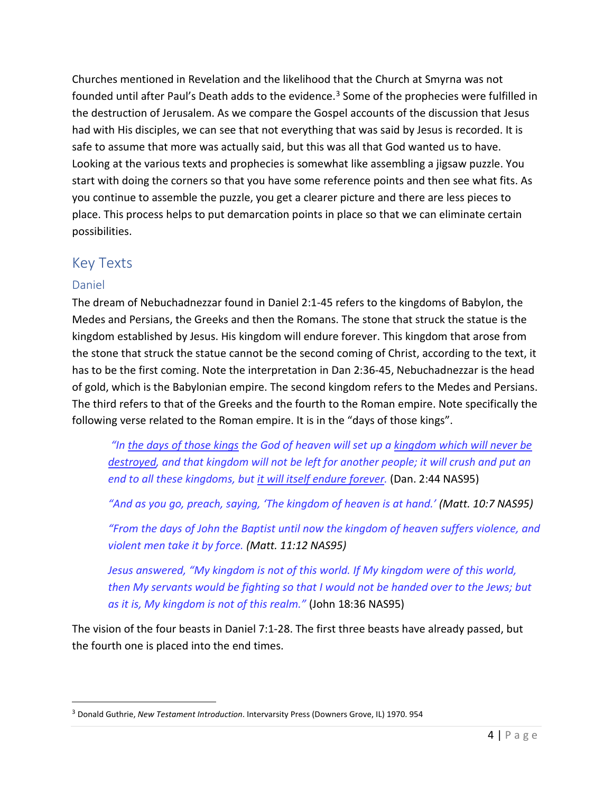Churches mentioned in Revelation and the likelihood that the Church at Smyrna was not founded until after Paul's Death adds to the evidence.<sup>[3](#page-3-2)</sup> Some of the prophecies were fulfilled in the destruction of Jerusalem. As we compare the Gospel accounts of the discussion that Jesus had with His disciples, we can see that not everything that was said by Jesus is recorded. It is safe to assume that more was actually said, but this was all that God wanted us to have. Looking at the various texts and prophecies is somewhat like assembling a jigsaw puzzle. You start with doing the corners so that you have some reference points and then see what fits. As you continue to assemble the puzzle, you get a clearer picture and there are less pieces to place. This process helps to put demarcation points in place so that we can eliminate certain possibilities.

## <span id="page-3-0"></span>Key Texts

#### <span id="page-3-1"></span>Daniel

The dream of Nebuchadnezzar found in Daniel 2:1-45 refers to the kingdoms of Babylon, the Medes and Persians, the Greeks and then the Romans. The stone that struck the statue is the kingdom established by Jesus. His kingdom will endure forever. This kingdom that arose from the stone that struck the statue cannot be the second coming of Christ, according to the text, it has to be the first coming. Note the interpretation in Dan 2:36-45, Nebuchadnezzar is the head of gold, which is the Babylonian empire. The second kingdom refers to the Medes and Persians. The third refers to that of the Greeks and the fourth to the Roman empire. Note specifically the following verse related to the Roman empire. It is in the "days of those kings".

*"In the days of those kings the God of heaven will set up a kingdom which will never be destroyed, and that kingdom will not be left for another people; it will crush and put an end to all these kingdoms, but it will itself endure forever.* (Dan. 2:44 NAS95)

*"And as you go, preach, saying, 'The kingdom of heaven is at hand.' (Matt. 10:7 NAS95)*

*"From the days of John the Baptist until now the kingdom of heaven suffers violence, and violent men take it by force. (Matt. 11:12 NAS95)*

*Jesus answered, "My kingdom is not of this world. If My kingdom were of this world, then My servants would be fighting so that I would not be handed over to the Jews; but as it is, My kingdom is not of this realm."* (John 18:36 NAS95)

The vision of the four beasts in Daniel 7:1-28. The first three beasts have already passed, but the fourth one is placed into the end times.

<span id="page-3-2"></span><sup>3</sup> Donald Guthrie, *New Testament Introduction*. Intervarsity Press (Downers Grove, IL) 1970. 954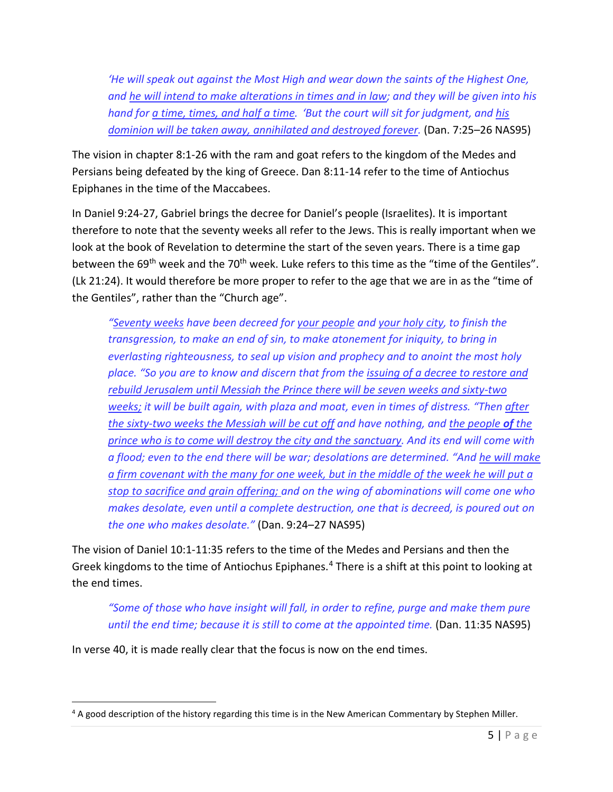*'He will speak out against the Most High and wear down the saints of the Highest One, and he will intend to make alterations in times and in law; and they will be given into his hand for a time, times, and half a time. 'But the court will sit for judgment, and his dominion will be taken away, annihilated and destroyed forever.* (Dan. 7:25–26 NAS95)

The vision in chapter 8:1-26 with the ram and goat refers to the kingdom of the Medes and Persians being defeated by the king of Greece. Dan 8:11-14 refer to the time of Antiochus Epiphanes in the time of the Maccabees.

In Daniel 9:24-27, Gabriel brings the decree for Daniel's people (Israelites). It is important therefore to note that the seventy weeks all refer to the Jews. This is really important when we look at the book of Revelation to determine the start of the seven years. There is a time gap between the 69<sup>th</sup> week and the 70<sup>th</sup> week. Luke refers to this time as the "time of the Gentiles". (Lk 21:24). It would therefore be more proper to refer to the age that we are in as the "time of the Gentiles", rather than the "Church age".

*"Seventy weeks have been decreed for your people and your holy city, to finish the transgression, to make an end of sin, to make atonement for iniquity, to bring in everlasting righteousness, to seal up vision and prophecy and to anoint the most holy place. "So you are to know and discern that from the issuing of a decree to restore and rebuild Jerusalem until Messiah the Prince there will be seven weeks and sixty-two weeks; it will be built again, with plaza and moat, even in times of distress. "Then after the sixty-two weeks the Messiah will be cut off and have nothing, and the people of the prince who is to come will destroy the city and the sanctuary. And its end will come with a flood; even to the end there will be war; desolations are determined. "And he will make a firm covenant with the many for one week, but in the middle of the week he will put a stop to sacrifice and grain offering; and on the wing of abominations will come one who makes desolate, even until a complete destruction, one that is decreed, is poured out on the one who makes desolate."* (Dan. 9:24–27 NAS95)

The vision of Daniel 10:1-11:35 refers to the time of the Medes and Persians and then the Greek kingdoms to the time of Antiochus Epiphanes.<sup>[4](#page-4-0)</sup> There is a shift at this point to looking at the end times.

*"Some of those who have insight will fall, in order to refine, purge and make them pure until the end time; because it is still to come at the appointed time.* (Dan. 11:35 NAS95)

In verse 40, it is made really clear that the focus is now on the end times.

<span id="page-4-0"></span><sup>4</sup> A good description of the history regarding this time is in the New American Commentary by Stephen Miller.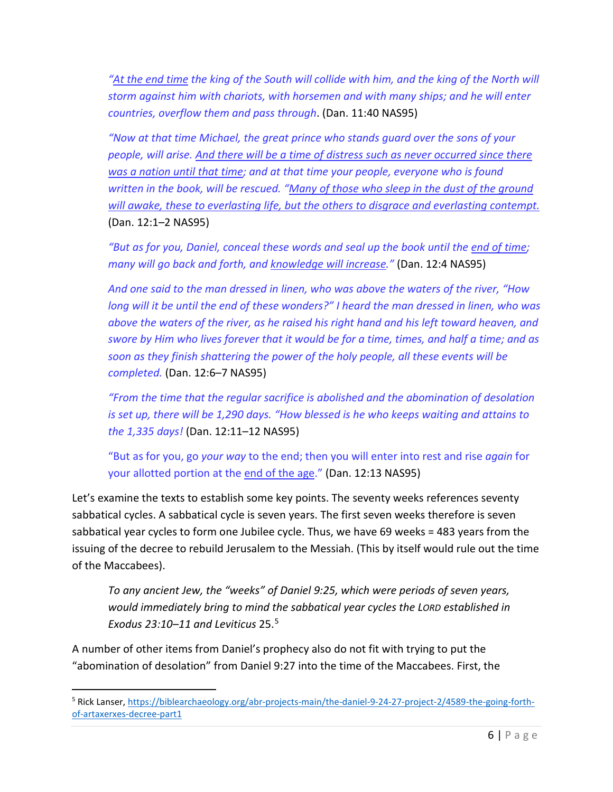*"At the end time the king of the South will collide with him, and the king of the North will storm against him with chariots, with horsemen and with many ships; and he will enter countries, overflow them and pass through*. (Dan. 11:40 NAS95)

*"Now at that time Michael, the great prince who stands guard over the sons of your people, will arise. And there will be a time of distress such as never occurred since there was a nation until that time; and at that time your people, everyone who is found written in the book, will be rescued. "Many of those who sleep in the dust of the ground will awake, these to everlasting life, but the others to disgrace and everlasting contempt.* (Dan. 12:1–2 NAS95)

*"But as for you, Daniel, conceal these words and seal up the book until the end of time; many will go back and forth, and knowledge will increase."* (Dan. 12:4 NAS95)

*And one said to the man dressed in linen, who was above the waters of the river, "How long will it be until the end of these wonders?" I heard the man dressed in linen, who was above the waters of the river, as he raised his right hand and his left toward heaven, and swore by Him who lives forever that it would be for a time, times, and half a time; and as soon as they finish shattering the power of the holy people, all these events will be completed.* (Dan. 12:6–7 NAS95)

*"From the time that the regular sacrifice is abolished and the abomination of desolation is set up, there will be 1,290 days. "How blessed is he who keeps waiting and attains to the 1,335 days!* (Dan. 12:11–12 NAS95)

"But as for you, go *your way* to the end; then you will enter into rest and rise *again* for your allotted portion at the end of the age." (Dan. 12:13 NAS95)

Let's examine the texts to establish some key points. The seventy weeks references seventy sabbatical cycles. A sabbatical cycle is seven years. The first seven weeks therefore is seven sabbatical year cycles to form one Jubilee cycle. Thus, we have 69 weeks = 483 years from the issuing of the decree to rebuild Jerusalem to the Messiah. (This by itself would rule out the time of the Maccabees).

*To any ancient Jew, the "weeks" of Daniel 9:25, which were periods of seven years, would immediately bring to mind the sabbatical year cycles the LORD established in Exodus 23:10–11 and Leviticus* 25.[5](#page-5-0)

A number of other items from Daniel's prophecy also do not fit with trying to put the "abomination of desolation" from Daniel 9:27 into the time of the Maccabees. First, the

<span id="page-5-0"></span><sup>5</sup> Rick Lanser[, https://biblearchaeology.org/abr-projects-main/the-daniel-9-24-27-project-2/4589-the-going-forth](https://biblearchaeology.org/abr-projects-main/the-daniel-9-24-27-project-2/4589-the-going-forth-of-artaxerxes-decree-part1)[of-artaxerxes-decree-part1](https://biblearchaeology.org/abr-projects-main/the-daniel-9-24-27-project-2/4589-the-going-forth-of-artaxerxes-decree-part1)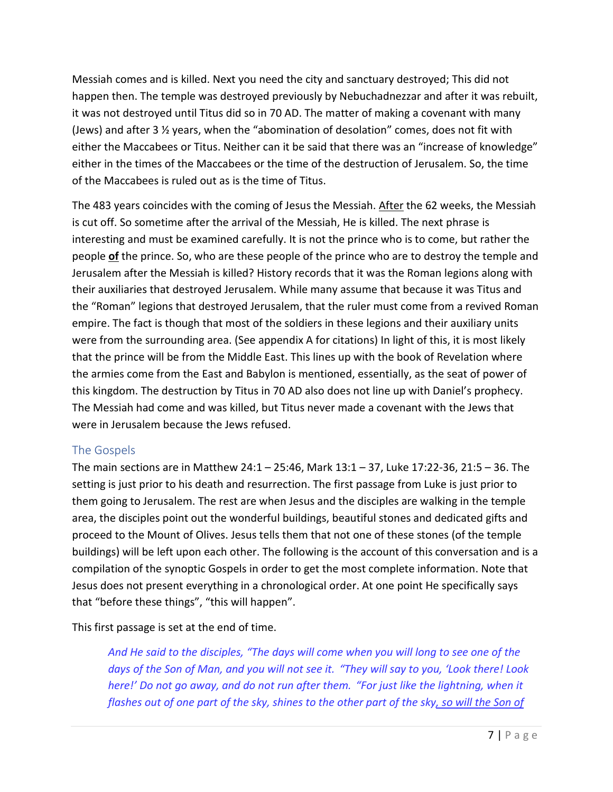Messiah comes and is killed. Next you need the city and sanctuary destroyed; This did not happen then. The temple was destroyed previously by Nebuchadnezzar and after it was rebuilt, it was not destroyed until Titus did so in 70 AD. The matter of making a covenant with many (Jews) and after 3 ½ years, when the "abomination of desolation" comes, does not fit with either the Maccabees or Titus. Neither can it be said that there was an "increase of knowledge" either in the times of the Maccabees or the time of the destruction of Jerusalem. So, the time of the Maccabees is ruled out as is the time of Titus.

The 483 years coincides with the coming of Jesus the Messiah. After the 62 weeks, the Messiah is cut off. So sometime after the arrival of the Messiah, He is killed. The next phrase is interesting and must be examined carefully. It is not the prince who is to come, but rather the people **of** the prince. So, who are these people of the prince who are to destroy the temple and Jerusalem after the Messiah is killed? History records that it was the Roman legions along with their auxiliaries that destroyed Jerusalem. While many assume that because it was Titus and the "Roman" legions that destroyed Jerusalem, that the ruler must come from a revived Roman empire. The fact is though that most of the soldiers in these legions and their auxiliary units were from the surrounding area. (See appendix A for citations) In light of this, it is most likely that the prince will be from the Middle East. This lines up with the book of Revelation where the armies come from the East and Babylon is mentioned, essentially, as the seat of power of this kingdom. The destruction by Titus in 70 AD also does not line up with Daniel's prophecy. The Messiah had come and was killed, but Titus never made a covenant with the Jews that were in Jerusalem because the Jews refused.

#### <span id="page-6-0"></span>The Gospels

The main sections are in Matthew 24:1 – 25:46, Mark 13:1 – 37, Luke 17:22-36, 21:5 – 36. The setting is just prior to his death and resurrection. The first passage from Luke is just prior to them going to Jerusalem. The rest are when Jesus and the disciples are walking in the temple area, the disciples point out the wonderful buildings, beautiful stones and dedicated gifts and proceed to the Mount of Olives. Jesus tells them that not one of these stones (of the temple buildings) will be left upon each other. The following is the account of this conversation and is a compilation of the synoptic Gospels in order to get the most complete information. Note that Jesus does not present everything in a chronological order. At one point He specifically says that "before these things", "this will happen".

This first passage is set at the end of time.

*And He said to the disciples, "The days will come when you will long to see one of the days of the Son of Man, and you will not see it. "They will say to you, 'Look there! Look here!' Do not go away, and do not run after them. "For just like the lightning, when it flashes out of one part of the sky, shines to the other part of the sky, so will the Son of*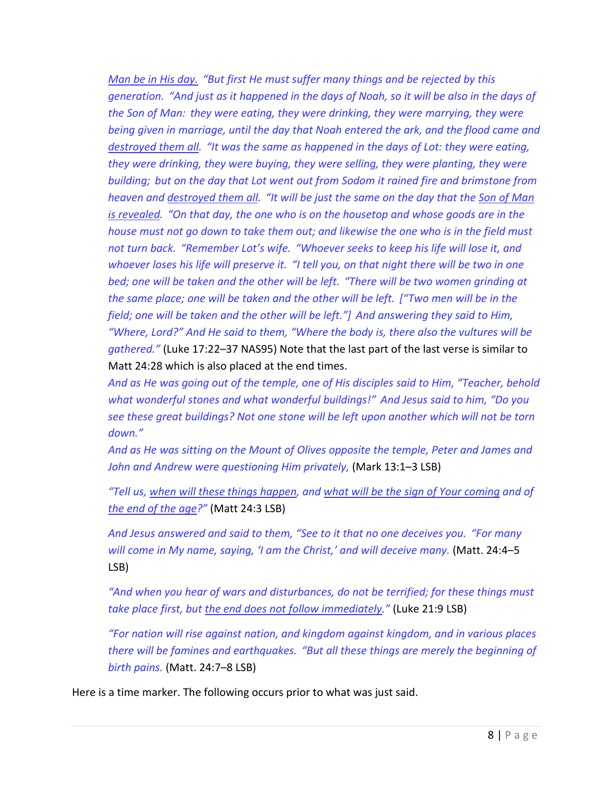*Man be in His day. "But first He must suffer many things and be rejected by this generation. "And just as it happened in the days of Noah, so it will be also in the days of the Son of Man: they were eating, they were drinking, they were marrying, they were being given in marriage, until the day that Noah entered the ark, and the flood came and destroyed them all. "It was the same as happened in the days of Lot: they were eating, they were drinking, they were buying, they were selling, they were planting, they were building; but on the day that Lot went out from Sodom it rained fire and brimstone from heaven and destroyed them all. "It will be just the same on the day that the Son of Man is revealed. "On that day, the one who is on the housetop and whose goods are in the house must not go down to take them out; and likewise the one who is in the field must not turn back. "Remember Lot's wife. "Whoever seeks to keep his life will lose it, and whoever loses his life will preserve it. "I tell you, on that night there will be two in one bed; one will be taken and the other will be left. "There will be two women grinding at the same place; one will be taken and the other will be left. ["Two men will be in the field; one will be taken and the other will be left."] And answering they said to Him, "Where, Lord?" And He said to them, "Where the body is, there also the vultures will be gathered."* (Luke 17:22–37 NAS95) Note that the last part of the last verse is similar to Matt 24:28 which is also placed at the end times.

*And as He was going out of the temple, one of His disciples said to Him, "Teacher, behold what wonderful stones and what wonderful buildings!" And Jesus said to him, "Do you see these great buildings? Not one stone will be left upon another which will not be torn down."*

*And as He was sitting on the Mount of Olives opposite the temple, Peter and James and John and Andrew were questioning Him privately,* (Mark 13:1–3 LSB)

*"Tell us, when will these things happen, and what will be the sign of Your coming and of the end of the age?"* (Matt 24:3 LSB)

*And Jesus answered and said to them, "See to it that no one deceives you. "For many will come in My name, saying, 'I am the Christ,' and will deceive many.* (Matt. 24:4–5 LSB)

*"And when you hear of wars and disturbances, do not be terrified; for these things must take place first, but the end does not follow immediately."* (Luke 21:9 LSB)

*"For nation will rise against nation, and kingdom against kingdom, and in various places there will be famines and earthquakes. "But all these things are merely the beginning of birth pains.* (Matt. 24:7–8 LSB)

Here is a time marker. The following occurs prior to what was just said.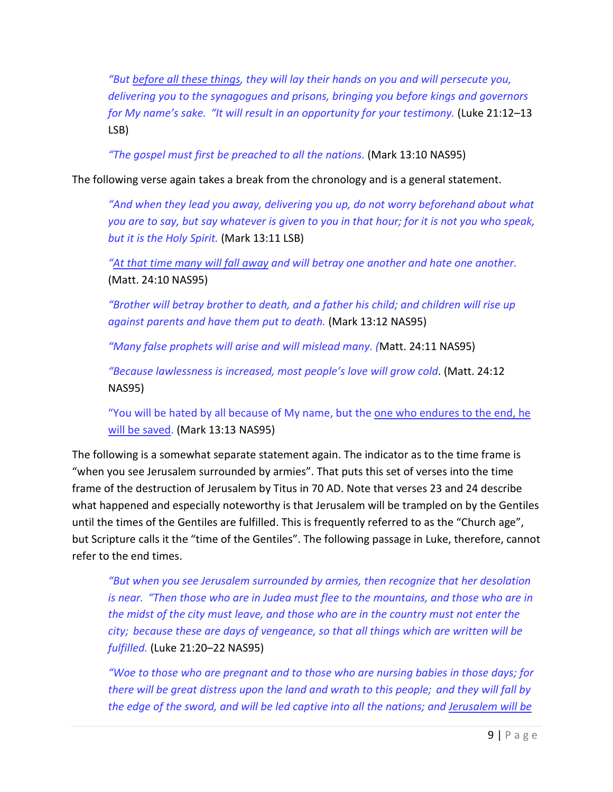*"But before all these things, they will lay their hands on you and will persecute you, delivering you to the synagogues and prisons, bringing you before kings and governors for My name's sake. "It will result in an opportunity for your testimony.* (Luke 21:12–13 LSB)

*"The gospel must first be preached to all the nations.* (Mark 13:10 NAS95)

The following verse again takes a break from the chronology and is a general statement.

*"And when they lead you away, delivering you up, do not worry beforehand about what you are to say, but say whatever is given to you in that hour; for it is not you who speak, but it is the Holy Spirit.* (Mark 13:11 LSB)

*"At that time many will fall away and will betray one another and hate one another.* (Matt. 24:10 NAS95)

*"Brother will betray brother to death, and a father his child; and children will rise up against parents and have them put to death.* (Mark 13:12 NAS95)

*"Many false prophets will arise and will mislead many. (*Matt. 24:11 NAS95)

*"Because lawlessness is increased, most people's love will grow cold*. (Matt. 24:12 NAS95)

"You will be hated by all because of My name, but the one who endures to the end, he will be saved. (Mark 13:13 NAS95)

The following is a somewhat separate statement again. The indicator as to the time frame is "when you see Jerusalem surrounded by armies". That puts this set of verses into the time frame of the destruction of Jerusalem by Titus in 70 AD. Note that verses 23 and 24 describe what happened and especially noteworthy is that Jerusalem will be trampled on by the Gentiles until the times of the Gentiles are fulfilled. This is frequently referred to as the "Church age", but Scripture calls it the "time of the Gentiles". The following passage in Luke, therefore, cannot refer to the end times.

*"But when you see Jerusalem surrounded by armies, then recognize that her desolation is near. "Then those who are in Judea must flee to the mountains, and those who are in the midst of the city must leave, and those who are in the country must not enter the city; because these are days of vengeance, so that all things which are written will be fulfilled.* (Luke 21:20–22 NAS95)

*"Woe to those who are pregnant and to those who are nursing babies in those days; for there will be great distress upon the land and wrath to this people; and they will fall by the edge of the sword, and will be led captive into all the nations; and Jerusalem will be*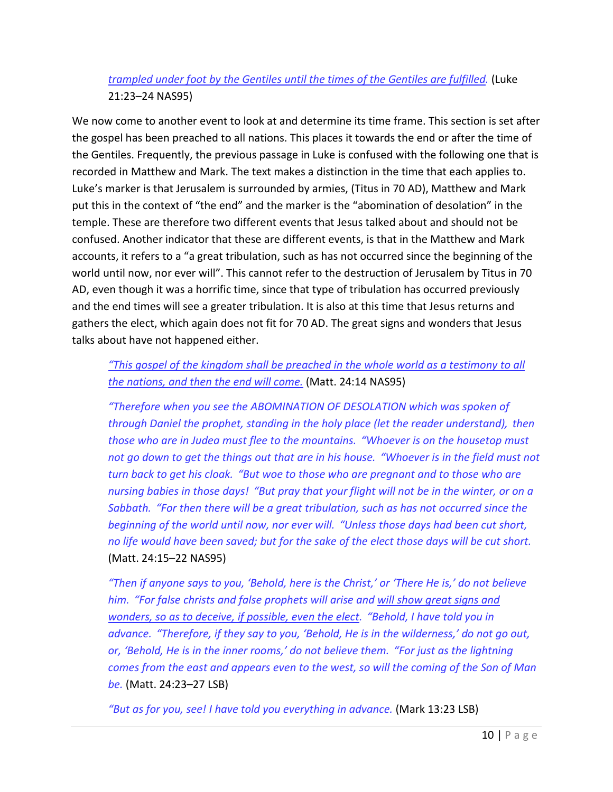## *trampled under foot by the Gentiles until the times of the Gentiles are fulfilled.* (Luke 21:23–24 NAS95)

We now come to another event to look at and determine its time frame. This section is set after the gospel has been preached to all nations. This places it towards the end or after the time of the Gentiles. Frequently, the previous passage in Luke is confused with the following one that is recorded in Matthew and Mark. The text makes a distinction in the time that each applies to. Luke's marker is that Jerusalem is surrounded by armies, (Titus in 70 AD), Matthew and Mark put this in the context of "the end" and the marker is the "abomination of desolation" in the temple. These are therefore two different events that Jesus talked about and should not be confused. Another indicator that these are different events, is that in the Matthew and Mark accounts, it refers to a "a great tribulation, such as has not occurred since the beginning of the world until now, nor ever will". This cannot refer to the destruction of Jerusalem by Titus in 70 AD, even though it was a horrific time, since that type of tribulation has occurred previously and the end times will see a greater tribulation. It is also at this time that Jesus returns and gathers the elect, which again does not fit for 70 AD. The great signs and wonders that Jesus talks about have not happened either.

*"This gospel of the kingdom shall be preached in the whole world as a testimony to all the nations, and then the end will come.* (Matt. 24:14 NAS95)

*"Therefore when you see the ABOMINATION OF DESOLATION which was spoken of through Daniel the prophet, standing in the holy place (let the reader understand), then those who are in Judea must flee to the mountains. "Whoever is on the housetop must not go down to get the things out that are in his house. "Whoever is in the field must not turn back to get his cloak. "But woe to those who are pregnant and to those who are nursing babies in those days! "But pray that your flight will not be in the winter, or on a Sabbath. "For then there will be a great tribulation, such as has not occurred since the beginning of the world until now, nor ever will. "Unless those days had been cut short, no life would have been saved; but for the sake of the elect those days will be cut short.* (Matt. 24:15–22 NAS95)

*"Then if anyone says to you, 'Behold, here is the Christ,' or 'There He is,' do not believe him. "For false christs and false prophets will arise and will show great signs and wonders, so as to deceive, if possible, even the elect. "Behold, I have told you in advance. "Therefore, if they say to you, 'Behold, He is in the wilderness,' do not go out, or, 'Behold, He is in the inner rooms,' do not believe them. "For just as the lightning comes from the east and appears even to the west, so will the coming of the Son of Man be.* (Matt. 24:23–27 LSB)

*"But as for you, see! I have told you everything in advance.* (Mark 13:23 LSB)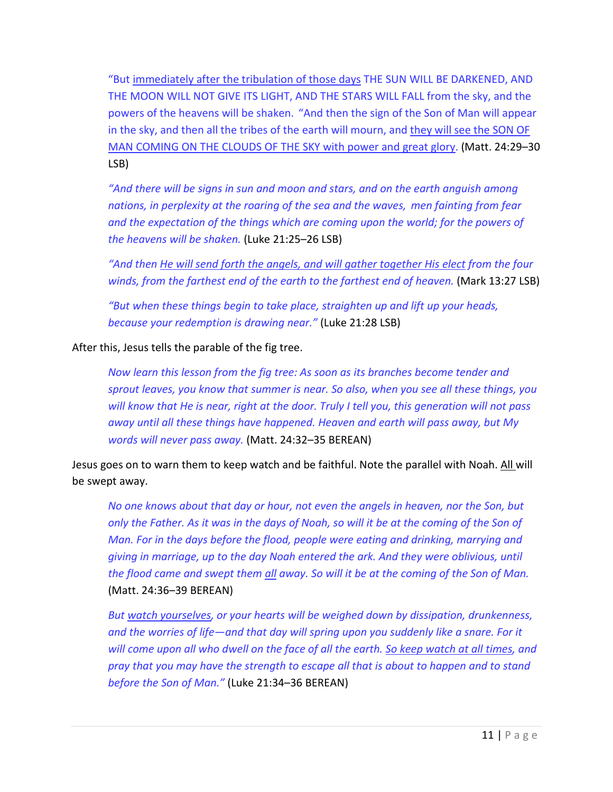"But immediately after the tribulation of those days THE SUN WILL BE DARKENED, AND THE MOON WILL NOT GIVE ITS LIGHT, AND THE STARS WILL FALL from the sky, and the powers of the heavens will be shaken. "And then the sign of the Son of Man will appear in the sky, and then all the tribes of the earth will mourn, and they will see the SON OF MAN COMING ON THE CLOUDS OF THE SKY with power and great glory. (Matt. 24:29–30 LSB)

*"And there will be signs in sun and moon and stars, and on the earth anguish among nations, in perplexity at the roaring of the sea and the waves, men fainting from fear and the expectation of the things which are coming upon the world; for the powers of the heavens will be shaken.* (Luke 21:25–26 LSB)

*"And then He will send forth the angels, and will gather together His elect from the four winds, from the farthest end of the earth to the farthest end of heaven.* (Mark 13:27 LSB)

*"But when these things begin to take place, straighten up and lift up your heads, because your redemption is drawing near."* (Luke 21:28 LSB)

After this, Jesus tells the parable of the fig tree.

*Now learn this lesson from the fig tree: As soon as its branches become tender and sprout leaves, you know that summer is near. So also, when you see all these things, you will know that He is near, right at the door. Truly I tell you, this generation will not pass away until all these things have happened. Heaven and earth will pass away, but My words will never pass away.* (Matt. 24:32–35 BEREAN)

Jesus goes on to warn them to keep watch and be faithful. Note the parallel with Noah. All will be swept away.

*No one knows about that day or hour, not even the angels in heaven, nor the Son, but only the Father. As it was in the days of Noah, so will it be at the coming of the Son of Man. For in the days before the flood, people were eating and drinking, marrying and giving in marriage, up to the day Noah entered the ark. And they were oblivious, until the flood came and swept them all away. So will it be at the coming of the Son of Man.* (Matt. 24:36–39 BEREAN)

*But watch yourselves, or your hearts will be weighed down by dissipation, drunkenness, and the worries of life—and that day will spring upon you suddenly like a snare. For it will come upon all who dwell on the face of all the earth. So keep watch at all times, and pray that you may have the strength to escape all that is about to happen and to stand before the Son of Man."* (Luke 21:34–36 BEREAN)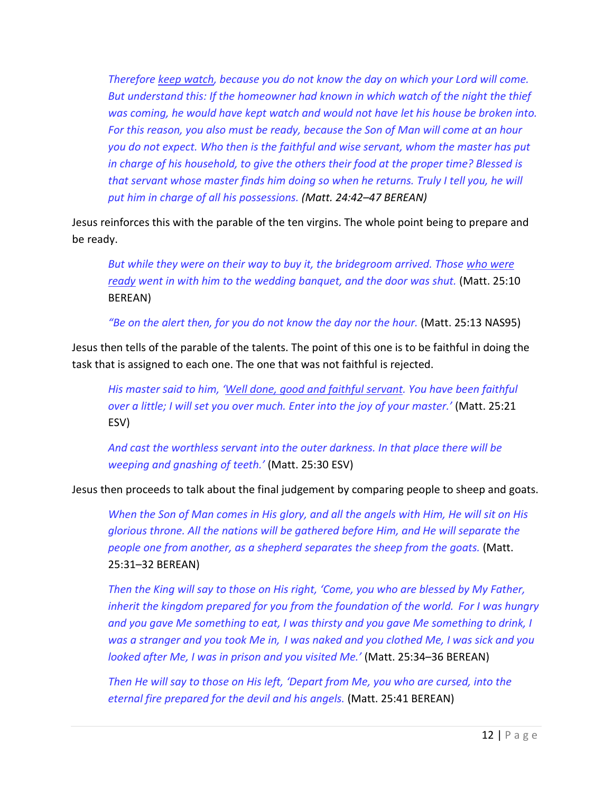*Therefore keep watch, because you do not know the day on which your Lord will come. But understand this: If the homeowner had known in which watch of the night the thief was coming, he would have kept watch and would not have let his house be broken into. For this reason, you also must be ready, because the Son of Man will come at an hour you do not expect. Who then is the faithful and wise servant, whom the master has put in charge of his household, to give the others their food at the proper time? Blessed is that servant whose master finds him doing so when he returns. Truly I tell you, he will put him in charge of all his possessions. (Matt. 24:42–47 BEREAN)*

Jesus reinforces this with the parable of the ten virgins. The whole point being to prepare and be ready.

*But while they were on their way to buy it, the bridegroom arrived. Those who were ready went in with him to the wedding banquet, and the door was shut.* (Matt. 25:10 BEREAN)

*"Be on the alert then, for you do not know the day nor the hour.* (Matt. 25:13 NAS95)

Jesus then tells of the parable of the talents. The point of this one is to be faithful in doing the task that is assigned to each one. The one that was not faithful is rejected.

*His master said to him, 'Well done, good and faithful servant. You have been faithful over a little; I will set you over much. Enter into the joy of your master.'* (Matt. 25:21 ESV)

*And cast the worthless servant into the outer darkness. In that place there will be weeping and gnashing of teeth.'* (Matt. 25:30 ESV)

Jesus then proceeds to talk about the final judgement by comparing people to sheep and goats.

*When the Son of Man comes in His glory, and all the angels with Him, He will sit on His glorious throne. All the nations will be gathered before Him, and He will separate the people one from another, as a shepherd separates the sheep from the goats.* (Matt. 25:31–32 BEREAN)

*Then the King will say to those on His right, 'Come, you who are blessed by My Father, inherit the kingdom prepared for you from the foundation of the world. For I was hungry and you gave Me something to eat, I was thirsty and you gave Me something to drink, I was a stranger and you took Me in, I was naked and you clothed Me, I was sick and you looked after Me, I was in prison and you visited Me.'* (Matt. 25:34–36 BEREAN)

*Then He will say to those on His left, 'Depart from Me, you who are cursed, into the eternal fire prepared for the devil and his angels.* (Matt. 25:41 BEREAN)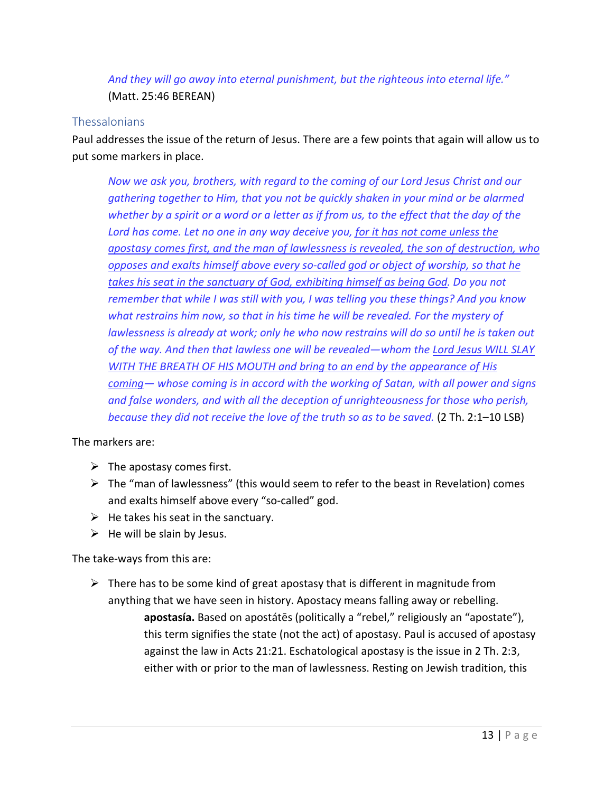*And they will go away into eternal punishment, but the righteous into eternal life."*  (Matt. 25:46 BEREAN)

#### <span id="page-12-0"></span>**Thessalonians**

Paul addresses the issue of the return of Jesus. There are a few points that again will allow us to put some markers in place.

*Now we ask you, brothers, with regard to the coming of our Lord Jesus Christ and our gathering together to Him, that you not be quickly shaken in your mind or be alarmed whether by a spirit or a word or a letter as if from us, to the effect that the day of the*  Lord has come. Let no one in any way deceive you, for it has not come unless the *apostasy comes first, and the man of lawlessness is revealed, the son of destruction, who opposes and exalts himself above every so-called god or object of worship, so that he takes his seat in the sanctuary of God, exhibiting himself as being God. Do you not remember that while I was still with you, I was telling you these things? And you know what restrains him now, so that in his time he will be revealed. For the mystery of lawlessness is already at work; only he who now restrains will do so until he is taken out of the way. And then that lawless one will be revealed—whom the Lord Jesus WILL SLAY WITH THE BREATH OF HIS MOUTH and bring to an end by the appearance of His coming— whose coming is in accord with the working of Satan, with all power and signs and false wonders, and with all the deception of unrighteousness for those who perish, because they did not receive the love of the truth so as to be saved.* (2 Th. 2:1–10 LSB)

The markers are:

- $\triangleright$  The apostasy comes first.
- $\triangleright$  The "man of lawlessness" (this would seem to refer to the beast in Revelation) comes and exalts himself above every "so-called" god.
- $\triangleright$  He takes his seat in the sanctuary.
- $\triangleright$  He will be slain by Jesus.

The take-ways from this are:

 $\triangleright$  There has to be some kind of great apostasy that is different in magnitude from anything that we have seen in history. Apostacy means falling away or rebelling. **apostasía.** Based on apostátēs (politically a "rebel," religiously an "apostate"), this term signifies the state (not the act) of apostasy. Paul is accused of apostasy against the law in Acts 21:21. Eschatological apostasy is the issue in 2 Th. 2:3, either with or prior to the man of lawlessness. Resting on Jewish tradition, this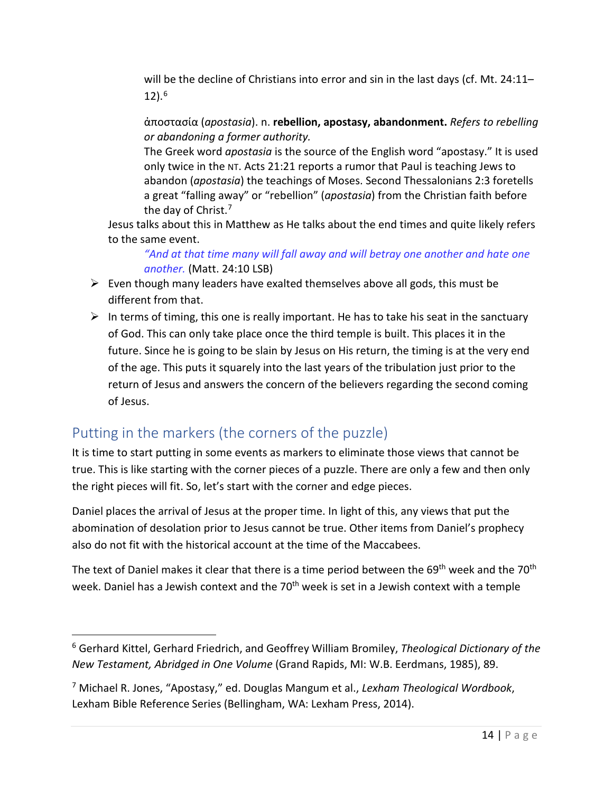will be the decline of Christians into error and sin in the last days (cf. Mt. 24:11–  $12$ ). $^{6}$  $^{6}$  $^{6}$ 

ἀποστασία (*apostasia*). n. **rebellion, apostasy, abandonment.** *Refers to rebelling or abandoning a former authority.*

The Greek word *apostasia* is the source of the English word "apostasy." It is used only twice in the NT. Acts 21:21 reports a rumor that Paul is teaching Jews to abandon (*apostasia*) the teachings of Moses. Second Thessalonians 2:3 foretells a great "falling away" or "rebellion" (*apostasia*) from the Christian faith before the day of Christ.<sup>[7](#page-13-2)</sup>

Jesus talks about this in Matthew as He talks about the end times and quite likely refers to the same event.

*"And at that time many will fall away and will betray one another and hate one another.* (Matt. 24:10 LSB)

- $\triangleright$  Even though many leaders have exalted themselves above all gods, this must be different from that.
- $\triangleright$  In terms of timing, this one is really important. He has to take his seat in the sanctuary of God. This can only take place once the third temple is built. This places it in the future. Since he is going to be slain by Jesus on His return, the timing is at the very end of the age. This puts it squarely into the last years of the tribulation just prior to the return of Jesus and answers the concern of the believers regarding the second coming of Jesus.

# <span id="page-13-0"></span>Putting in the markers (the corners of the puzzle)

It is time to start putting in some events as markers to eliminate those views that cannot be true. This is like starting with the corner pieces of a puzzle. There are only a few and then only the right pieces will fit. So, let's start with the corner and edge pieces.

Daniel places the arrival of Jesus at the proper time. In light of this, any views that put the abomination of desolation prior to Jesus cannot be true. Other items from Daniel's prophecy also do not fit with the historical account at the time of the Maccabees.

The text of Daniel makes it clear that there is a time period between the 69<sup>th</sup> week and the 70<sup>th</sup> week. Daniel has a Jewish context and the 70<sup>th</sup> week is set in a Jewish context with a temple

<span id="page-13-1"></span><sup>6</sup> Gerhard Kittel, Gerhard Friedrich, and Geoffrey William Bromiley, *Theological Dictionary of the New Testament, Abridged in One Volume* (Grand Rapids, MI: W.B. Eerdmans, 1985), 89.

<span id="page-13-2"></span><sup>7</sup> Michael R. Jones, "Apostasy," ed. Douglas Mangum et al., *Lexham Theological Wordbook*, Lexham Bible Reference Series (Bellingham, WA: Lexham Press, 2014).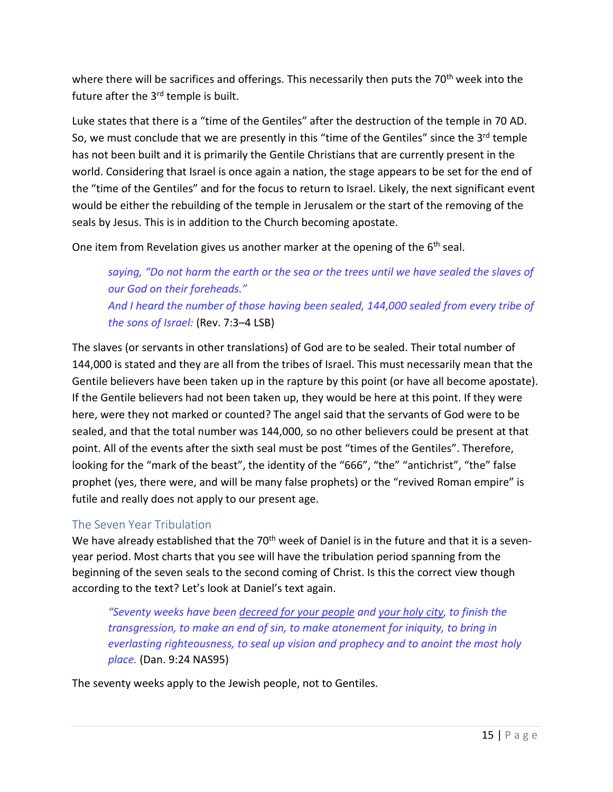where there will be sacrifices and offerings. This necessarily then puts the 70<sup>th</sup> week into the future after the 3<sup>rd</sup> temple is built.

Luke states that there is a "time of the Gentiles" after the destruction of the temple in 70 AD. So, we must conclude that we are presently in this "time of the Gentiles" since the  $3^{rd}$  temple has not been built and it is primarily the Gentile Christians that are currently present in the world. Considering that Israel is once again a nation, the stage appears to be set for the end of the "time of the Gentiles" and for the focus to return to Israel. Likely, the next significant event would be either the rebuilding of the temple in Jerusalem or the start of the removing of the seals by Jesus. This is in addition to the Church becoming apostate.

One item from Revelation gives us another marker at the opening of the 6<sup>th</sup> seal.

*saying, "Do not harm the earth or the sea or the trees until we have sealed the slaves of our God on their foreheads." And I heard the number of those having been sealed, 144,000 sealed from every tribe of the sons of Israel:* (Rev. 7:3–4 LSB)

The slaves (or servants in other translations) of God are to be sealed. Their total number of 144,000 is stated and they are all from the tribes of Israel. This must necessarily mean that the Gentile believers have been taken up in the rapture by this point (or have all become apostate). If the Gentile believers had not been taken up, they would be here at this point. If they were here, were they not marked or counted? The angel said that the servants of God were to be sealed, and that the total number was 144,000, so no other believers could be present at that point. All of the events after the sixth seal must be post "times of the Gentiles". Therefore, looking for the "mark of the beast", the identity of the "666", "the" "antichrist", "the" false prophet (yes, there were, and will be many false prophets) or the "revived Roman empire" is futile and really does not apply to our present age.

#### <span id="page-14-0"></span>The Seven Year Tribulation

We have already established that the 70<sup>th</sup> week of Daniel is in the future and that it is a sevenyear period. Most charts that you see will have the tribulation period spanning from the beginning of the seven seals to the second coming of Christ. Is this the correct view though according to the text? Let's look at Daniel's text again.

*"Seventy weeks have been decreed for your people and your holy city, to finish the transgression, to make an end of sin, to make atonement for iniquity, to bring in everlasting righteousness, to seal up vision and prophecy and to anoint the most holy place.* (Dan. 9:24 NAS95)

The seventy weeks apply to the Jewish people, not to Gentiles.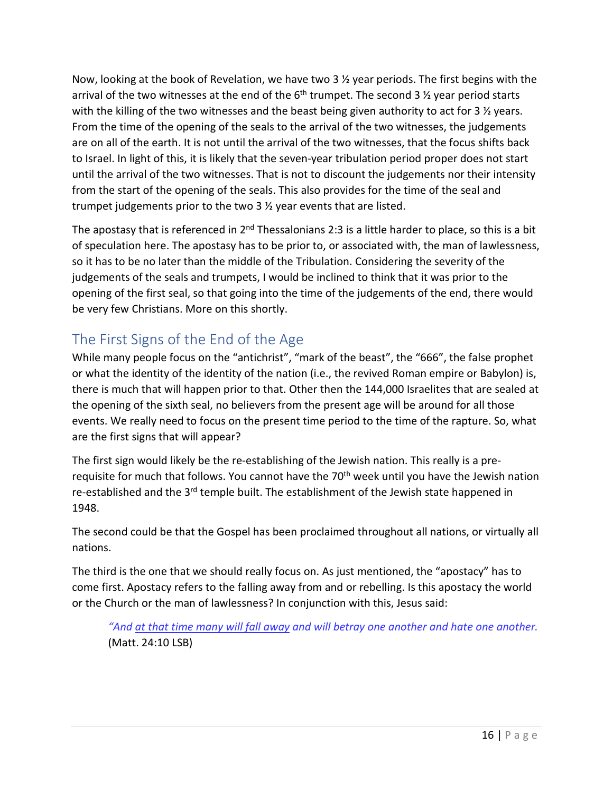Now, looking at the book of Revelation, we have two 3 ½ year periods. The first begins with the arrival of the two witnesses at the end of the  $6<sup>th</sup>$  trumpet. The second 3  $\frac{1}{2}$  year period starts with the killing of the two witnesses and the beast being given authority to act for 3 % years. From the time of the opening of the seals to the arrival of the two witnesses, the judgements are on all of the earth. It is not until the arrival of the two witnesses, that the focus shifts back to Israel. In light of this, it is likely that the seven-year tribulation period proper does not start until the arrival of the two witnesses. That is not to discount the judgements nor their intensity from the start of the opening of the seals. This also provides for the time of the seal and trumpet judgements prior to the two 3 ½ year events that are listed.

The apostasy that is referenced in  $2^{nd}$  Thessalonians 2:3 is a little harder to place, so this is a bit of speculation here. The apostasy has to be prior to, or associated with, the man of lawlessness, so it has to be no later than the middle of the Tribulation. Considering the severity of the judgements of the seals and trumpets, I would be inclined to think that it was prior to the opening of the first seal, so that going into the time of the judgements of the end, there would be very few Christians. More on this shortly.

# <span id="page-15-0"></span>The First Signs of the End of the Age

While many people focus on the "antichrist", "mark of the beast", the "666", the false prophet or what the identity of the identity of the nation (i.e., the revived Roman empire or Babylon) is, there is much that will happen prior to that. Other then the 144,000 Israelites that are sealed at the opening of the sixth seal, no believers from the present age will be around for all those events. We really need to focus on the present time period to the time of the rapture. So, what are the first signs that will appear?

The first sign would likely be the re-establishing of the Jewish nation. This really is a prerequisite for much that follows. You cannot have the 70<sup>th</sup> week until you have the Jewish nation re-established and the 3<sup>rd</sup> temple built. The establishment of the Jewish state happened in 1948.

The second could be that the Gospel has been proclaimed throughout all nations, or virtually all nations.

The third is the one that we should really focus on. As just mentioned, the "apostacy" has to come first. Apostacy refers to the falling away from and or rebelling. Is this apostacy the world or the Church or the man of lawlessness? In conjunction with this, Jesus said:

*"And at that time many will fall away and will betray one another and hate one another.* (Matt. 24:10 LSB)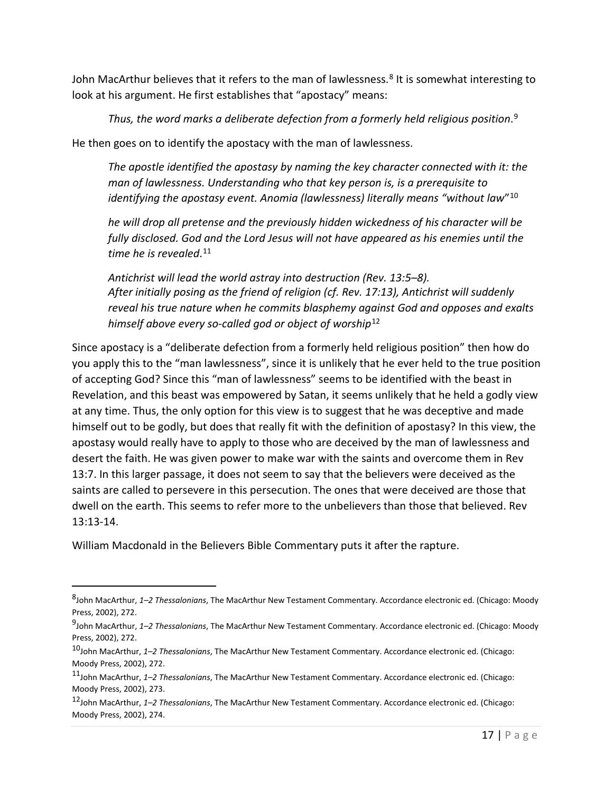John MacArthur believes that it refers to the man of lawlessness.<sup>[8](#page-16-0)</sup> It is somewhat interesting to look at his argument. He first establishes that "apostacy" means:

*Thus, the word marks a deliberate defection from a formerly held religious position*. [9](#page-16-1)

He then goes on to identify the apostacy with the man of lawlessness.

*The apostle identified the apostasy by naming the key character connected with it: the man of lawlessness. Understanding who that key person is, is a prerequisite to identifying the apostasy event. Anomia (lawlessness) literally means "without law*"[10](#page-16-2)

*he will drop all pretense and the previously hidden wickedness of his character will be fully disclosed. God and the Lord Jesus will not have appeared as his enemies until the time he is revealed*. [11](#page-16-3)

*Antichrist will lead the world astray into destruction (Rev. 13:5–8). After initially posing as the friend of religion (cf. Rev. 17:13), Antichrist will suddenly reveal his true nature when he commits blasphemy against God and opposes and exalts himself above every so-called god or object of worship*[12](#page-16-4)

Since apostacy is a "deliberate defection from a formerly held religious position" then how do you apply this to the "man lawlessness", since it is unlikely that he ever held to the true position of accepting God? Since this "man of lawlessness" seems to be identified with the beast in Revelation, and this beast was empowered by Satan, it seems unlikely that he held a godly view at any time. Thus, the only option for this view is to suggest that he was deceptive and made himself out to be godly, but does that really fit with the definition of apostasy? In this view, the apostasy would really have to apply to those who are deceived by the man of lawlessness and desert the faith. He was given power to make war with the saints and overcome them in Rev 13:7. In this larger passage, it does not seem to say that the believers were deceived as the saints are called to persevere in this persecution. The ones that were deceived are those that dwell on the earth. This seems to refer more to the unbelievers than those that believed. Rev 13:13-14.

William Macdonald in the Believers Bible Commentary puts it after the rapture.

<span id="page-16-0"></span><sup>8</sup>John MacArthur, *1–2 Thessalonians*, The MacArthur New Testament Commentary. Accordance electronic ed. (Chicago: Moody Press, 2002), 272.

<span id="page-16-1"></span><sup>9</sup>John MacArthur, *1–2 Thessalonians*, The MacArthur New Testament Commentary. Accordance electronic ed. (Chicago: Moody Press, 2002), 272.

<span id="page-16-2"></span><sup>10</sup>John MacArthur, *1–2 Thessalonians*, The MacArthur New Testament Commentary. Accordance electronic ed. (Chicago: Moody Press, 2002), 272.

<span id="page-16-3"></span><sup>11</sup>John MacArthur, *1–2 Thessalonians*, The MacArthur New Testament Commentary. Accordance electronic ed. (Chicago: Moody Press, 2002), 273.

<span id="page-16-4"></span><sup>12</sup>John MacArthur, *1–2 Thessalonians*, The MacArthur New Testament Commentary. Accordance electronic ed. (Chicago: Moody Press, 2002), 274.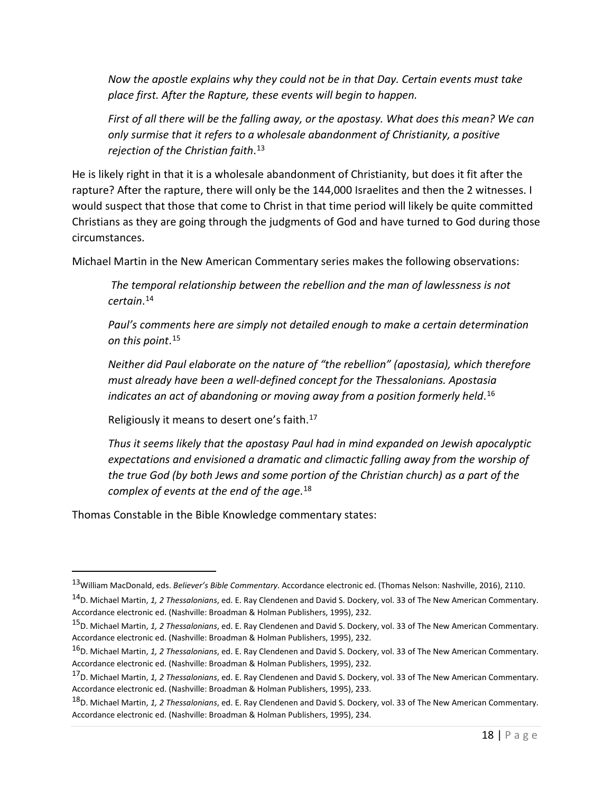*Now the apostle explains why they could not be in that Day. Certain events must take place first. After the Rapture, these events will begin to happen.*

*First of all there will be the falling away, or the apostasy. What does this mean? We can only surmise that it refers to a wholesale abandonment of Christianity, a positive rejection of the Christian faith*. [13](#page-17-0)

He is likely right in that it is a wholesale abandonment of Christianity, but does it fit after the rapture? After the rapture, there will only be the 144,000 Israelites and then the 2 witnesses. I would suspect that those that come to Christ in that time period will likely be quite committed Christians as they are going through the judgments of God and have turned to God during those circumstances.

Michael Martin in the New American Commentary series makes the following observations:

*The temporal relationship between the rebellion and the man of lawlessness is not certain*. [14](#page-17-1)

*Paul's comments here are simply not detailed enough to make a certain determination on this point*. [15](#page-17-2)

*Neither did Paul elaborate on the nature of "the rebellion" (apostasia), which therefore must already have been a well-defined concept for the Thessalonians. Apostasia indicates an act of abandoning or moving away from a position formerly held*. [16](#page-17-3)

Religiously it means to desert one's faith.<sup>[17](#page-17-4)</sup>

*Thus it seems likely that the apostasy Paul had in mind expanded on Jewish apocalyptic expectations and envisioned a dramatic and climactic falling away from the worship of the true God (by both Jews and some portion of the Christian church) as a part of the complex of events at the end of the age*. [18](#page-17-5)

Thomas Constable in the Bible Knowledge commentary states:

<span id="page-17-0"></span><sup>13</sup>William MacDonald, eds. *Believer's Bible Commentary*. Accordance electronic ed. (Thomas Nelson: Nashville, 2016), 2110.

<span id="page-17-1"></span><sup>14</sup>D. Michael Martin, *1, 2 Thessalonians*, ed. E. Ray Clendenen and David S. Dockery, vol. 33 of The New American Commentary. Accordance electronic ed. (Nashville: Broadman & Holman Publishers, 1995), 232.

<span id="page-17-2"></span><sup>15</sup>D. Michael Martin, *1, 2 Thessalonians*, ed. E. Ray Clendenen and David S. Dockery, vol. 33 of The New American Commentary. Accordance electronic ed. (Nashville: Broadman & Holman Publishers, 1995), 232.

<span id="page-17-3"></span><sup>16</sup>D. Michael Martin, *1, 2 Thessalonians*, ed. E. Ray Clendenen and David S. Dockery, vol. 33 of The New American Commentary. Accordance electronic ed. (Nashville: Broadman & Holman Publishers, 1995), 232.

<span id="page-17-4"></span><sup>17</sup>D. Michael Martin, *1, 2 Thessalonians*, ed. E. Ray Clendenen and David S. Dockery, vol. 33 of The New American Commentary. Accordance electronic ed. (Nashville: Broadman & Holman Publishers, 1995), 233.

<span id="page-17-5"></span><sup>18</sup>D. Michael Martin, *1, 2 Thessalonians*, ed. E. Ray Clendenen and David S. Dockery, vol. 33 of The New American Commentary. Accordance electronic ed. (Nashville: Broadman & Holman Publishers, 1995), 234.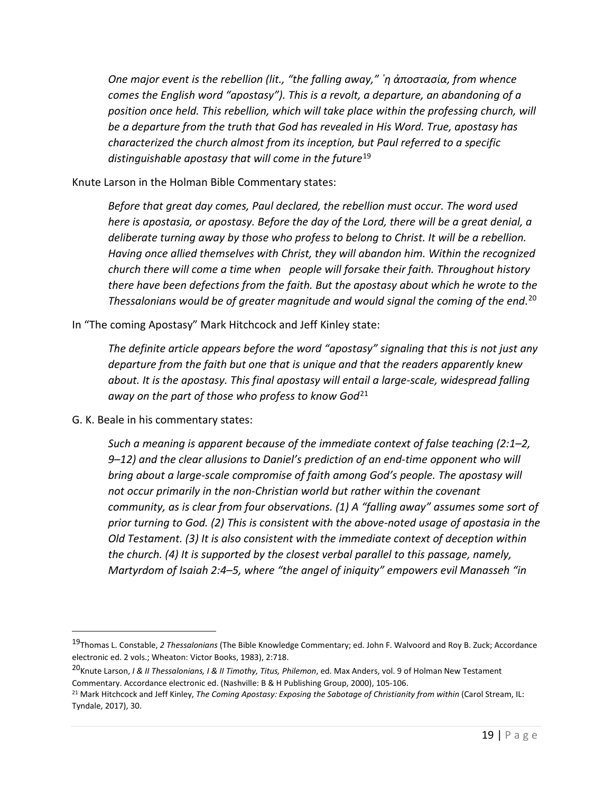*One major event is the rebellion (lit., "the falling away," ῾η ἀποστασία, from whence comes the English word "apostasy"). This is a revolt, a departure, an abandoning of a position once held. This rebellion, which will take place within the professing church, will be a departure from the truth that God has revealed in His Word. True, apostasy has characterized the church almost from its inception, but Paul referred to a specific distinguishable apostasy that will come in the future*[19](#page-18-0)

Knute Larson in the Holman Bible Commentary states:

*Before that great day comes, Paul declared, the rebellion must occur. The word used here is apostasia, or apostasy. Before the day of the Lord, there will be a great denial, a deliberate turning away by those who profess to belong to Christ. It will be a rebellion. Having once allied themselves with Christ, they will abandon him. Within the recognized church there will come a time when people will forsake their faith. Throughout history there have been defections from the faith. But the apostasy about which he wrote to the Thessalonians would be of greater magnitude and would signal the coming of the end*. [20](#page-18-1)

In "The coming Apostasy" Mark Hitchcock and Jeff Kinley state:

*The definite article appears before the word "apostasy" signaling that this is not just any departure from the faith but one that is unique and that the readers apparently knew about. It is the apostasy. This final apostasy will entail a large-scale, widespread falling away on the part of those who profess to know God*[21](#page-18-2)

G. K. Beale in his commentary states:

*Such a meaning is apparent because of the immediate context of false teaching (2:1–2, 9–12) and the clear allusions to Daniel's prediction of an end-time opponent who will bring about a large-scale compromise of faith among God's people. The apostasy will not occur primarily in the non-Christian world but rather within the covenant community, as is clear from four observations. (1) A "falling away" assumes some sort of prior turning to God. (2) This is consistent with the above-noted usage of apostasia in the Old Testament. (3) It is also consistent with the immediate context of deception within the church. (4) It is supported by the closest verbal parallel to this passage, namely, Martyrdom of Isaiah 2:4–5, where "the angel of iniquity" empowers evil Manasseh "in* 

<span id="page-18-1"></span>20Knute Larson, *I & II Thessalonians, I & II Timothy, Titus, Philemon*, ed. Max Anders, vol. 9 of Holman New Testament Commentary. Accordance electronic ed. (Nashville: B & H Publishing Group, 2000), 105-106.

<span id="page-18-0"></span><sup>19</sup>Thomas L. Constable, *2 Thessalonians* (The Bible Knowledge Commentary; ed. John F. Walvoord and Roy B. Zuck; Accordance electronic ed. 2 vols.; Wheaton: Victor Books, 1983), 2:718.

<span id="page-18-2"></span><sup>&</sup>lt;sup>21</sup> Mark Hitchcock and Jeff Kinley, *The Coming Apostasy: Exposing the Sabotage of Christianity from within* (Carol Stream, IL: Tyndale, 2017), 30.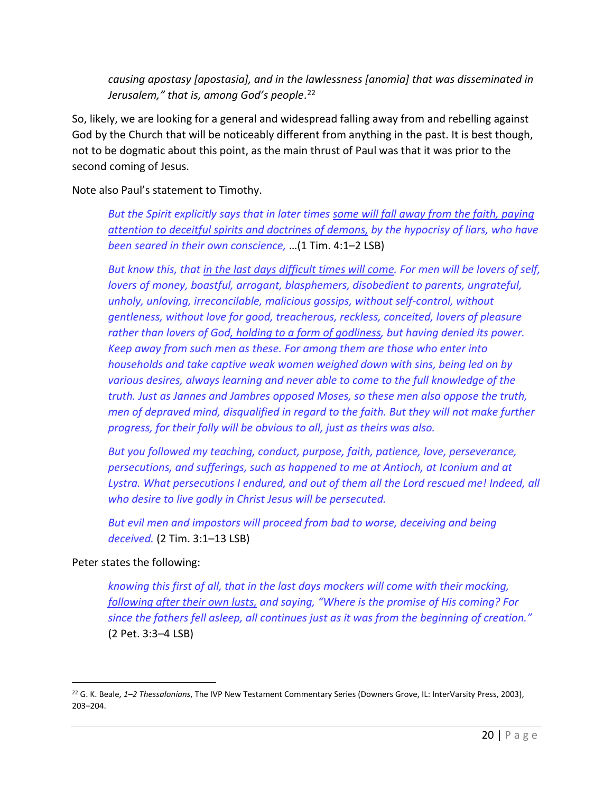*causing apostasy [apostasia], and in the lawlessness [anomia] that was disseminated in Jerusalem," that is, among God's people*. [22](#page-19-0)

So, likely, we are looking for a general and widespread falling away from and rebelling against God by the Church that will be noticeably different from anything in the past. It is best though, not to be dogmatic about this point, as the main thrust of Paul was that it was prior to the second coming of Jesus.

Note also Paul's statement to Timothy.

*But the Spirit explicitly says that in later times some will fall away from the faith, paying attention to deceitful spirits and doctrines of demons, by the hypocrisy of liars, who have been seared in their own conscience,* …(1 Tim. 4:1–2 LSB)

*But know this, that in the last days difficult times will come. For men will be lovers of self, lovers of money, boastful, arrogant, blasphemers, disobedient to parents, ungrateful, unholy, unloving, irreconcilable, malicious gossips, without self-control, without gentleness, without love for good, treacherous, reckless, conceited, lovers of pleasure rather than lovers of God, holding to a form of godliness, but having denied its power. Keep away from such men as these. For among them are those who enter into households and take captive weak women weighed down with sins, being led on by various desires, always learning and never able to come to the full knowledge of the truth. Just as Jannes and Jambres opposed Moses, so these men also oppose the truth, men of depraved mind, disqualified in regard to the faith. But they will not make further progress, for their folly will be obvious to all, just as theirs was also.*

*But you followed my teaching, conduct, purpose, faith, patience, love, perseverance, persecutions, and sufferings, such as happened to me at Antioch, at Iconium and at Lystra. What persecutions I endured, and out of them all the Lord rescued me! Indeed, all who desire to live godly in Christ Jesus will be persecuted.*

But evil men and impostors will proceed from bad to worse, deceiving and being *deceived.* (2 Tim. 3:1–13 LSB)

#### Peter states the following:

*knowing this first of all, that in the last days mockers will come with their mocking, following after their own lusts, and saying, "Where is the promise of His coming? For since the fathers fell asleep, all continues just as it was from the beginning of creation."* (2 Pet. 3:3–4 LSB)

<span id="page-19-0"></span><sup>22</sup> G. K. Beale, *1–2 Thessalonians*, The IVP New Testament Commentary Series (Downers Grove, IL: InterVarsity Press, 2003), 203–204.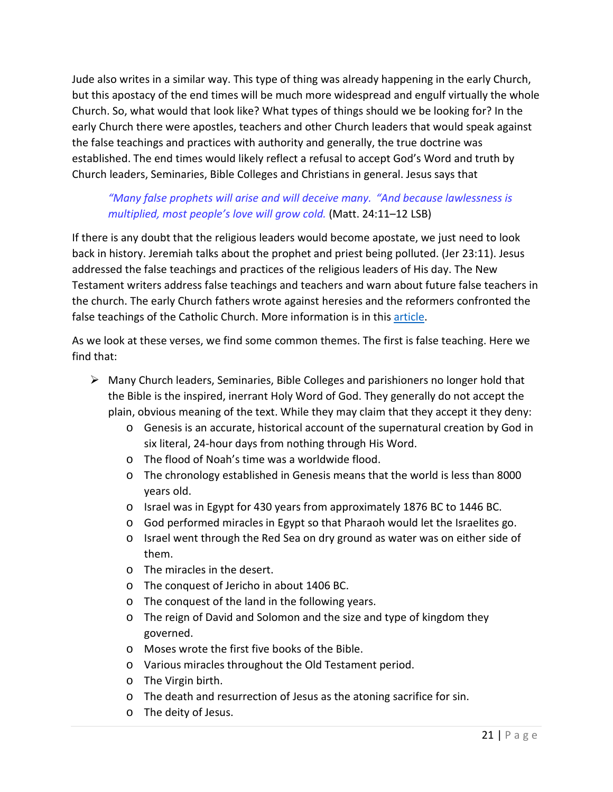Jude also writes in a similar way. This type of thing was already happening in the early Church, but this apostacy of the end times will be much more widespread and engulf virtually the whole Church. So, what would that look like? What types of things should we be looking for? In the early Church there were apostles, teachers and other Church leaders that would speak against the false teachings and practices with authority and generally, the true doctrine was established. The end times would likely reflect a refusal to accept God's Word and truth by Church leaders, Seminaries, Bible Colleges and Christians in general. Jesus says that

## *"Many false prophets will arise and will deceive many. "And because lawlessness is multiplied, most people's love will grow cold.* (Matt. 24:11–12 LSB)

If there is any doubt that the religious leaders would become apostate, we just need to look back in history. Jeremiah talks about the prophet and priest being polluted. (Jer 23:11). Jesus addressed the false teachings and practices of the religious leaders of His day. The New Testament writers address false teachings and teachers and warn about future false teachers in the church. The early Church fathers wrote against heresies and the reformers confronted the false teachings of the Catholic Church. More information is in this [article.](https://www.biblestudyhelps.ca/images/bible-studies/False%20Teachers%20in%20Israel%20and%20the%20Church.pdf)

As we look at these verses, we find some common themes. The first is false teaching. Here we find that:

- $\triangleright$  Many Church leaders, Seminaries, Bible Colleges and parishioners no longer hold that the Bible is the inspired, inerrant Holy Word of God. They generally do not accept the plain, obvious meaning of the text. While they may claim that they accept it they deny:
	- o Genesis is an accurate, historical account of the supernatural creation by God in six literal, 24-hour days from nothing through His Word.
	- o The flood of Noah's time was a worldwide flood.
	- o The chronology established in Genesis means that the world is less than 8000 years old.
	- o Israel was in Egypt for 430 years from approximately 1876 BC to 1446 BC.
	- o God performed miracles in Egypt so that Pharaoh would let the Israelites go.
	- o Israel went through the Red Sea on dry ground as water was on either side of them.
	- o The miracles in the desert.
	- o The conquest of Jericho in about 1406 BC.
	- o The conquest of the land in the following years.
	- o The reign of David and Solomon and the size and type of kingdom they governed.
	- o Moses wrote the first five books of the Bible.
	- o Various miracles throughout the Old Testament period.
	- o The Virgin birth.
	- o The death and resurrection of Jesus as the atoning sacrifice for sin.
	- o The deity of Jesus.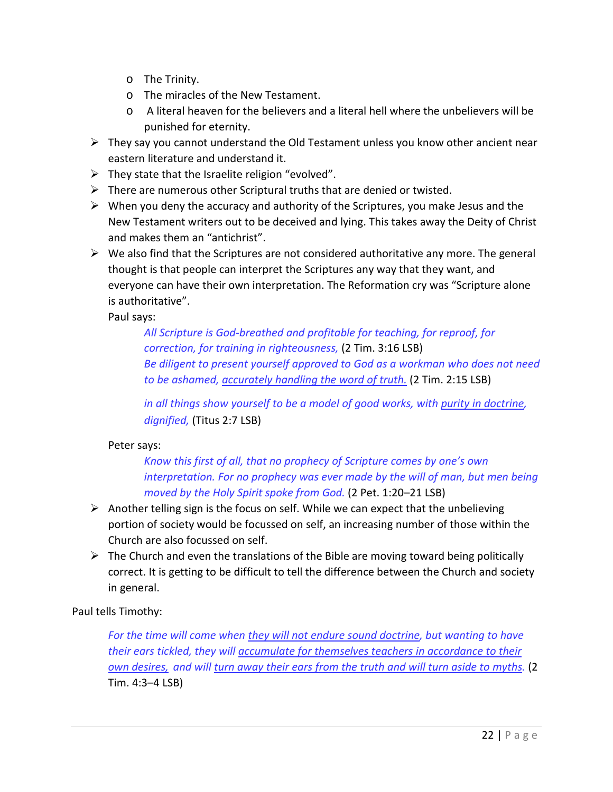- o The Trinity.
- o The miracles of the New Testament.
- o A literal heaven for the believers and a literal hell where the unbelievers will be punished for eternity.
- $\triangleright$  They say you cannot understand the Old Testament unless you know other ancient near eastern literature and understand it.
- $\triangleright$  They state that the Israelite religion "evolved".
- $\triangleright$  There are numerous other Scriptural truths that are denied or twisted.
- $\triangleright$  When you deny the accuracy and authority of the Scriptures, you make Jesus and the New Testament writers out to be deceived and lying. This takes away the Deity of Christ and makes them an "antichrist".
- $\triangleright$  We also find that the Scriptures are not considered authoritative any more. The general thought is that people can interpret the Scriptures any way that they want, and everyone can have their own interpretation. The Reformation cry was "Scripture alone is authoritative".

Paul says:

*All Scripture is God-breathed and profitable for teaching, for reproof, for correction, for training in righteousness,* (2 Tim. 3:16 LSB) *Be diligent to present yourself approved to God as a workman who does not need to be ashamed, accurately handling the word of truth.* (2 Tim. 2:15 LSB)

*in all things show yourself to be a model of good works, with purity in doctrine, dignified,* (Titus 2:7 LSB)

#### Peter says:

*Know this first of all, that no prophecy of Scripture comes by one's own interpretation. For no prophecy was ever made by the will of man, but men being moved by the Holy Spirit spoke from God.* (2 Pet. 1:20–21 LSB)

- $\triangleright$  Another telling sign is the focus on self. While we can expect that the unbelieving portion of society would be focussed on self, an increasing number of those within the Church are also focussed on self.
- $\triangleright$  The Church and even the translations of the Bible are moving toward being politically correct. It is getting to be difficult to tell the difference between the Church and society in general.

Paul tells Timothy:

For the time will come when they will not endure sound doctrine, but wanting to have *their ears tickled, they will accumulate for themselves teachers in accordance to their own desires, and will turn away their ears from the truth and will turn aside to myths.* (2 Tim. 4:3–4 LSB)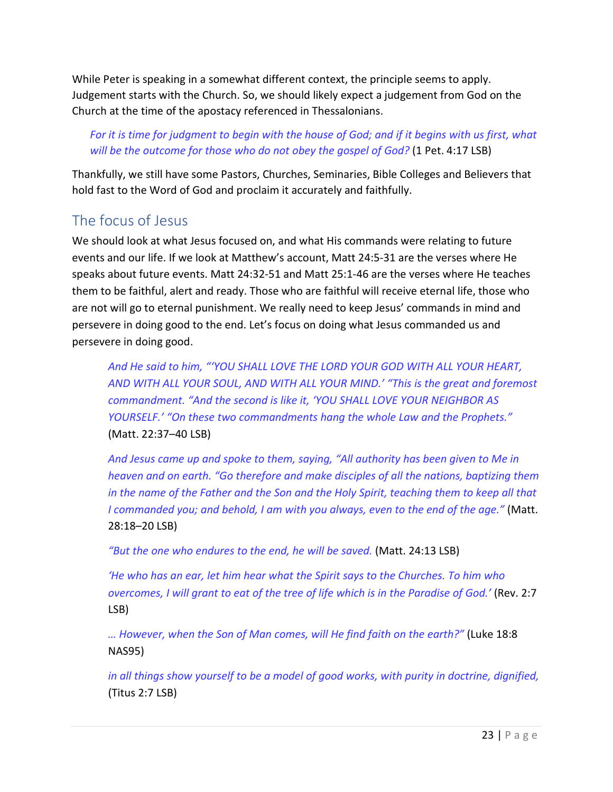While Peter is speaking in a somewhat different context, the principle seems to apply. Judgement starts with the Church. So, we should likely expect a judgement from God on the Church at the time of the apostacy referenced in Thessalonians.

*For it is time for judgment to begin with the house of God; and if it begins with us first, what will be the outcome for those who do not obey the gospel of God?* (1 Pet. 4:17 LSB)

Thankfully, we still have some Pastors, Churches, Seminaries, Bible Colleges and Believers that hold fast to the Word of God and proclaim it accurately and faithfully.

## <span id="page-22-0"></span>The focus of Jesus

We should look at what Jesus focused on, and what His commands were relating to future events and our life. If we look at Matthew's account, Matt 24:5-31 are the verses where He speaks about future events. Matt 24:32-51 and Matt 25:1-46 are the verses where He teaches them to be faithful, alert and ready. Those who are faithful will receive eternal life, those who are not will go to eternal punishment. We really need to keep Jesus' commands in mind and persevere in doing good to the end. Let's focus on doing what Jesus commanded us and persevere in doing good.

*And He said to him, "'YOU SHALL LOVE THE LORD YOUR GOD WITH ALL YOUR HEART, AND WITH ALL YOUR SOUL, AND WITH ALL YOUR MIND.' "This is the great and foremost commandment. "And the second is like it, 'YOU SHALL LOVE YOUR NEIGHBOR AS YOURSELF.' "On these two commandments hang the whole Law and the Prophets."* (Matt. 22:37–40 LSB)

*And Jesus came up and spoke to them, saying, "All authority has been given to Me in heaven and on earth. "Go therefore and make disciples of all the nations, baptizing them in the name of the Father and the Son and the Holy Spirit, teaching them to keep all that I commanded you; and behold, I am with you always, even to the end of the age."* (Matt. 28:18–20 LSB)

*"But the one who endures to the end, he will be saved.* (Matt. 24:13 LSB)

*'He who has an ear, let him hear what the Spirit says to the Churches. To him who overcomes, I will grant to eat of the tree of life which is in the Paradise of God.'* (Rev. 2:7 LSB)

*… However, when the Son of Man comes, will He find faith on the earth?"* (Luke 18:8 NAS95)

*in all things show yourself to be a model of good works, with purity in doctrine, dignified,* (Titus 2:7 LSB)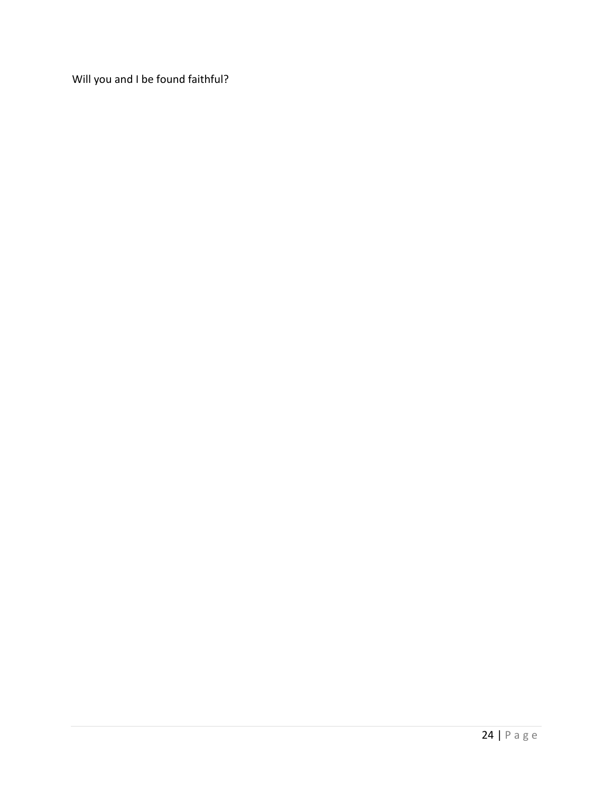Will you and I be found faithful?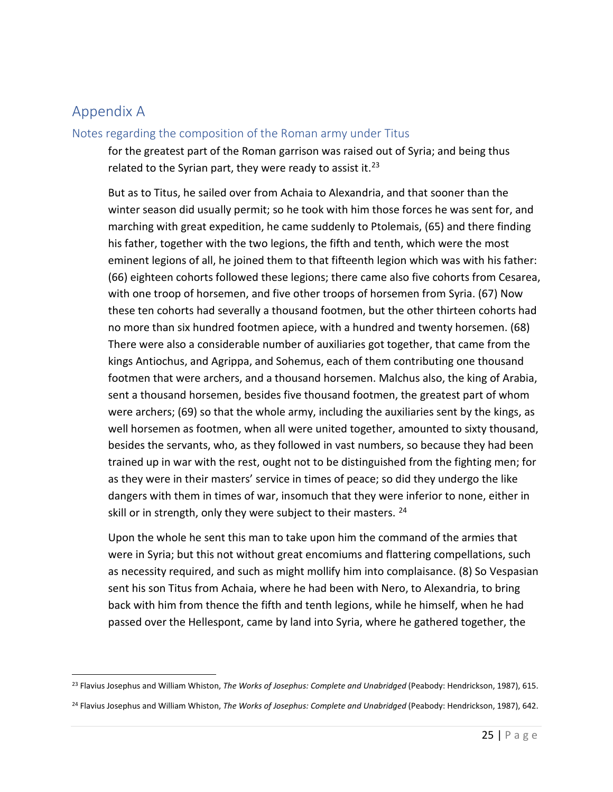## <span id="page-24-0"></span>Appendix A

#### <span id="page-24-1"></span>Notes regarding the composition of the Roman army under Titus

for the greatest part of the Roman garrison was raised out of Syria; and being thus related to the Syrian part, they were ready to assist it.<sup>[23](#page-24-2)</sup>

But as to Titus, he sailed over from Achaia to Alexandria, and that sooner than the winter season did usually permit; so he took with him those forces he was sent for, and marching with great expedition, he came suddenly to Ptolemais, (65) and there finding his father, together with the two legions, the fifth and tenth, which were the most eminent legions of all, he joined them to that fifteenth legion which was with his father: (66) eighteen cohorts followed these legions; there came also five cohorts from Cesarea, with one troop of horsemen, and five other troops of horsemen from Syria. (67) Now these ten cohorts had severally a thousand footmen, but the other thirteen cohorts had no more than six hundred footmen apiece, with a hundred and twenty horsemen. (68) There were also a considerable number of auxiliaries got together, that came from the kings Antiochus, and Agrippa, and Sohemus, each of them contributing one thousand footmen that were archers, and a thousand horsemen. Malchus also, the king of Arabia, sent a thousand horsemen, besides five thousand footmen, the greatest part of whom were archers; (69) so that the whole army, including the auxiliaries sent by the kings, as well horsemen as footmen, when all were united together, amounted to sixty thousand, besides the servants, who, as they followed in vast numbers, so because they had been trained up in war with the rest, ought not to be distinguished from the fighting men; for as they were in their masters' service in times of peace; so did they undergo the like dangers with them in times of war, insomuch that they were inferior to none, either in skill or in strength, only they were subject to their masters.  $24$ 

Upon the whole he sent this man to take upon him the command of the armies that were in Syria; but this not without great encomiums and flattering compellations, such as necessity required, and such as might mollify him into complaisance. (8) So Vespasian sent his son Titus from Achaia, where he had been with Nero, to Alexandria, to bring back with him from thence the fifth and tenth legions, while he himself, when he had passed over the Hellespont, came by land into Syria, where he gathered together, the

<span id="page-24-2"></span><sup>23</sup> Flavius Josephus and William Whiston, *The Works of Josephus: Complete and Unabridged* (Peabody: Hendrickson, 1987), 615.

<span id="page-24-3"></span><sup>24</sup> Flavius Josephus and William Whiston, *The Works of Josephus: Complete and Unabridged* (Peabody: Hendrickson, 1987), 642.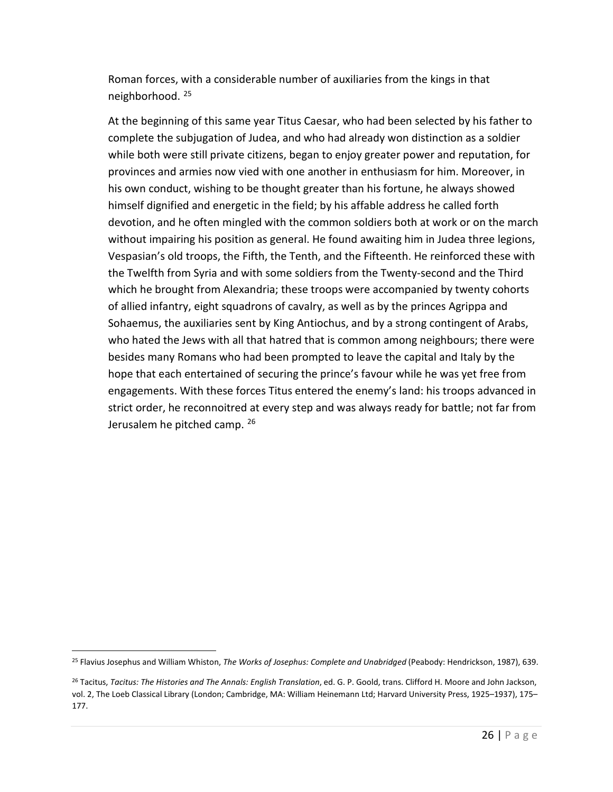Roman forces, with a considerable number of auxiliaries from the kings in that neighborhood. [25](#page-25-0)

At the beginning of this same year Titus Caesar, who had been selected by his father to complete the subjugation of Judea, and who had already won distinction as a soldier while both were still private citizens, began to enjoy greater power and reputation, for provinces and armies now vied with one another in enthusiasm for him. Moreover, in his own conduct, wishing to be thought greater than his fortune, he always showed himself dignified and energetic in the field; by his affable address he called forth devotion, and he often mingled with the common soldiers both at work or on the march without impairing his position as general. He found awaiting him in Judea three legions, Vespasian's old troops, the Fifth, the Tenth, and the Fifteenth. He reinforced these with the Twelfth from Syria and with some soldiers from the Twenty-second and the Third which he brought from Alexandria; these troops were accompanied by twenty cohorts of allied infantry, eight squadrons of cavalry, as well as by the princes Agrippa and Sohaemus, the auxiliaries sent by King Antiochus, and by a strong contingent of Arabs, who hated the Jews with all that hatred that is common among neighbours; there were besides many Romans who had been prompted to leave the capital and Italy by the hope that each entertained of securing the prince's favour while he was yet free from engagements. With these forces Titus entered the enemy's land: his troops advanced in strict order, he reconnoitred at every step and was always ready for battle; not far from Jerusalem he pitched camp. [26](#page-25-1)

<span id="page-25-0"></span><sup>25</sup> Flavius Josephus and William Whiston, *The Works of Josephus: Complete and Unabridged* (Peabody: Hendrickson, 1987), 639.

<span id="page-25-1"></span><sup>26</sup> Tacitus, *Tacitus: The Histories and The Annals: English Translation*, ed. G. P. Goold, trans. Clifford H. Moore and John Jackson, vol. 2, The Loeb Classical Library (London; Cambridge, MA: William Heinemann Ltd; Harvard University Press, 1925–1937), 175– 177.